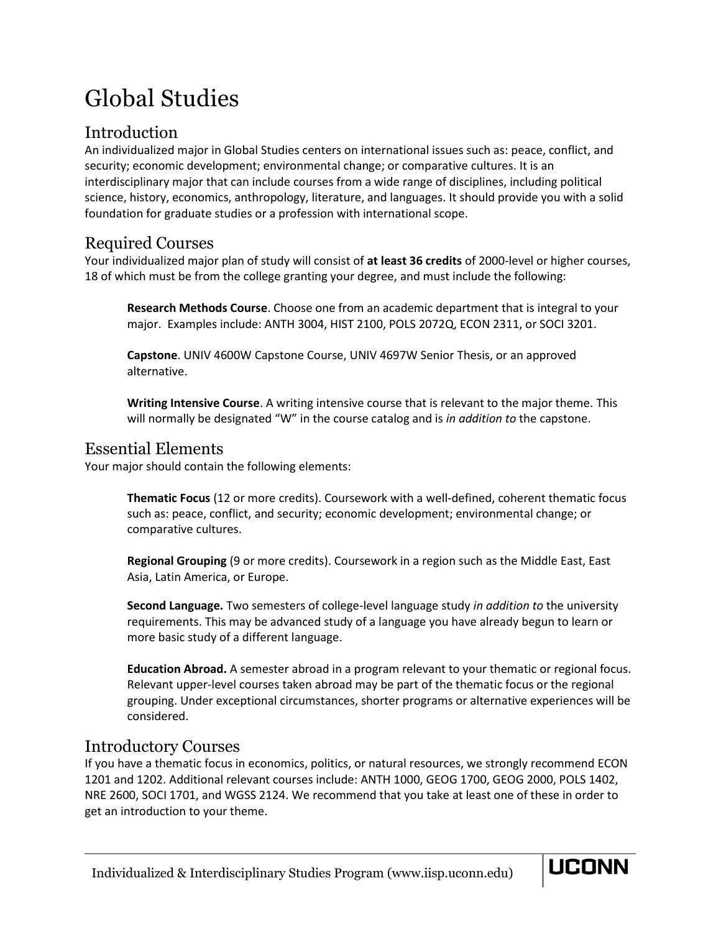# Global Studies

# Introduction

An individualized major in Global Studies centers on international issues such as: peace, conflict, and security; economic development; environmental change; or comparative cultures. It is an interdisciplinary major that can include courses from a wide range of disciplines, including political science, history, economics, anthropology, literature, and languages. It should provide you with a solid foundation for graduate studies or a profession with international scope.

## Required Courses

Your individualized major plan of study will consist of **at least 36 credits** of 2000-level or higher courses, 18 of which must be from the college granting your degree, and must include the following:

**Research Methods Course**. Choose one from an academic department that is integral to your major. Examples include: ANTH 3004, HIST 2100, POLS 2072Q, ECON 2311, or SOCI 3201.

**Capstone**. UNIV 4600W Capstone Course, UNIV 4697W Senior Thesis, or an approved alternative.

**Writing Intensive Course**. A writing intensive course that is relevant to the major theme. This will normally be designated "W" in the course catalog and is *in addition to* the capstone.

## Essential Elements

Your major should contain the following elements:

**Thematic Focus** (12 or more credits). Coursework with a well-defined, coherent thematic focus such as: peace, conflict, and security; economic development; environmental change; or comparative cultures.

**Regional Grouping** (9 or more credits). Coursework in a region such as the Middle East, East Asia, Latin America, or Europe.

**Second Language.** Two semesters of college-level language study *in addition to* the university requirements. This may be advanced study of a language you have already begun to learn or more basic study of a different language.

**Education Abroad.** A semester abroad in a program relevant to your thematic or regional focus. Relevant upper-level courses taken abroad may be part of the thematic focus or the regional grouping. Under exceptional circumstances, shorter programs or alternative experiences will be considered.

## Introductory Courses

If you have a thematic focus in economics, politics, or natural resources, we strongly recommend ECON 1201 and 1202. Additional relevant courses include: ANTH 1000, GEOG 1700, GEOG 2000, POLS 1402, NRE 2600, SOCI 1701, and WGSS 2124. We recommend that you take at least one of these in order to get an introduction to your theme.